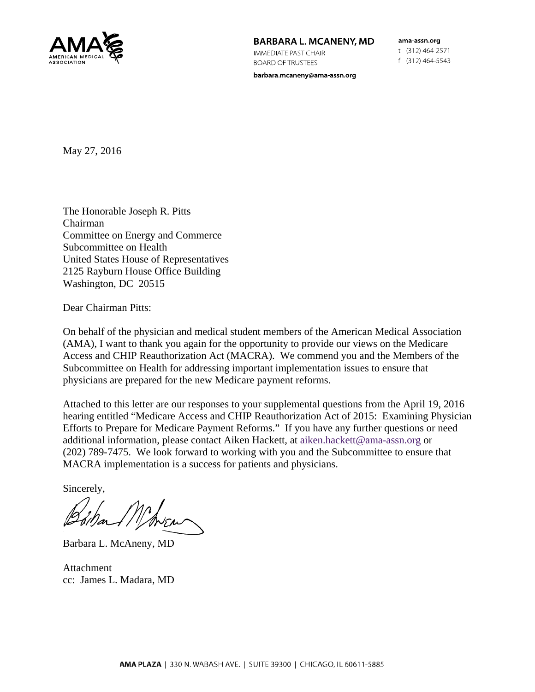

## BARBARA L. MCANENY, MD

**IMMEDIATE PAST CHAIR BOARD OF TRUSTEES** 

barbara.mcaneny@ama-assn.org

ama-assn.org t (312) 464 2571 f (312) 464-5543

May 27, 2016

The Honorable Joseph R. Pitts Chairman Committee on Energy and Commerce Subcommittee on Health United States House of Representatives 2125 Rayburn House Office Building Washington, DC 20515

Dear Chairman Pitts:

On behalf of the physician and medical student members of the American Medical Association (AMA), I want to thank you again for the opportunity to provide our views on the Medicare Access and CHIP Reauthorization Act (MACRA). We commend you and the Members of the Subcommittee on Health for addressing important implementation issues to ensure that physicians are prepared for the new Medicare payment reforms.

Attached to this letter are our responses to your supplemental questions from the April 19, 2016 hearing entitled "Medicare Access and CHIP Reauthorization Act of 2015: Examining Physician Efforts to Prepare for Medicare Payment Reforms." If you have any further questions or need additional information, please contact Aiken Hackett, at aiken.hackett@ama-assn.org or (202) 789-7475. We look forward to working with you and the Subcommittee to ensure that MACRA implementation is a success for patients and physicians.

Sincerely,

Barbara L. McAneny, MD

Attachment cc: James L. Madara, MD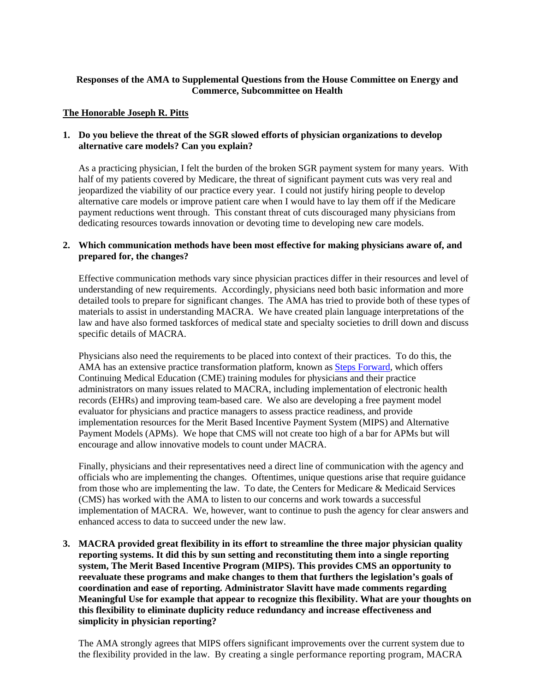# **Responses of the AMA to Supplemental Questions from the House Committee on Energy and Commerce, Subcommittee on Health**

## **The Honorable Joseph R. Pitts**

## **1. Do you believe the threat of the SGR slowed efforts of physician organizations to develop alternative care models? Can you explain?**

As a practicing physician, I felt the burden of the broken SGR payment system for many years. With half of my patients covered by Medicare, the threat of significant payment cuts was very real and jeopardized the viability of our practice every year. I could not justify hiring people to develop alternative care models or improve patient care when I would have to lay them off if the Medicare payment reductions went through. This constant threat of cuts discouraged many physicians from dedicating resources towards innovation or devoting time to developing new care models.

## **2. Which communication methods have been most effective for making physicians aware of, and prepared for, the changes?**

Effective communication methods vary since physician practices differ in their resources and level of understanding of new requirements. Accordingly, physicians need both basic information and more detailed tools to prepare for significant changes. The AMA has tried to provide both of these types of materials to assist in understanding MACRA. We have created plain language interpretations of the law and have also formed taskforces of medical state and specialty societies to drill down and discuss specific details of MACRA.

Physicians also need the requirements to be placed into context of their practices. To do this, the AMA has an extensive practice transformation platform, known as Steps Forward, which offers Continuing Medical Education (CME) training modules for physicians and their practice administrators on many issues related to MACRA, including implementation of electronic health records (EHRs) and improving team-based care. We also are developing a free payment model evaluator for physicians and practice managers to assess practice readiness, and provide implementation resources for the Merit Based Incentive Payment System (MIPS) and Alternative Payment Models (APMs). We hope that CMS will not create too high of a bar for APMs but will encourage and allow innovative models to count under MACRA.

Finally, physicians and their representatives need a direct line of communication with the agency and officials who are implementing the changes. Oftentimes, unique questions arise that require guidance from those who are implementing the law. To date, the Centers for Medicare & Medicaid Services (CMS) has worked with the AMA to listen to our concerns and work towards a successful implementation of MACRA. We, however, want to continue to push the agency for clear answers and enhanced access to data to succeed under the new law.

**3. MACRA provided great flexibility in its effort to streamline the three major physician quality reporting systems. It did this by sun setting and reconstituting them into a single reporting system, The Merit Based Incentive Program (MIPS). This provides CMS an opportunity to reevaluate these programs and make changes to them that furthers the legislation's goals of coordination and ease of reporting. Administrator Slavitt have made comments regarding Meaningful Use for example that appear to recognize this flexibility. What are your thoughts on this flexibility to eliminate duplicity reduce redundancy and increase effectiveness and simplicity in physician reporting?** 

The AMA strongly agrees that MIPS offers significant improvements over the current system due to the flexibility provided in the law. By creating a single performance reporting program, MACRA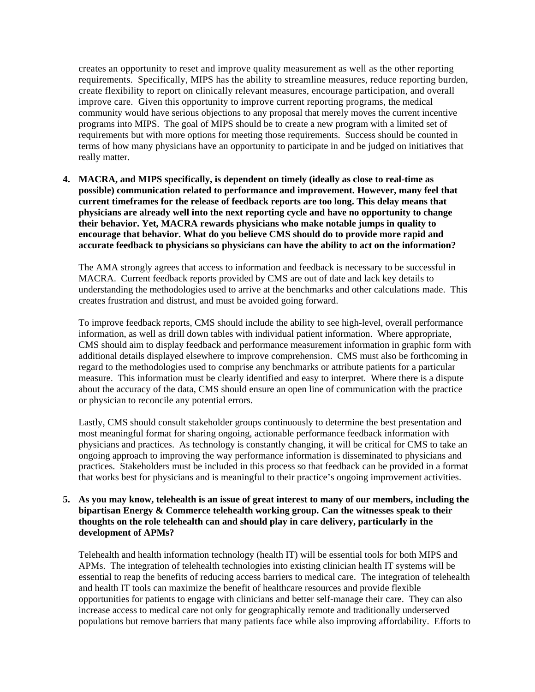creates an opportunity to reset and improve quality measurement as well as the other reporting requirements. Specifically, MIPS has the ability to streamline measures, reduce reporting burden, create flexibility to report on clinically relevant measures, encourage participation, and overall improve care. Given this opportunity to improve current reporting programs, the medical community would have serious objections to any proposal that merely moves the current incentive programs into MIPS. The goal of MIPS should be to create a new program with a limited set of requirements but with more options for meeting those requirements. Success should be counted in terms of how many physicians have an opportunity to participate in and be judged on initiatives that really matter.

**4. MACRA, and MIPS specifically, is dependent on timely (ideally as close to real-time as possible) communication related to performance and improvement. However, many feel that current timeframes for the release of feedback reports are too long. This delay means that physicians are already well into the next reporting cycle and have no opportunity to change their behavior. Yet, MACRA rewards physicians who make notable jumps in quality to encourage that behavior. What do you believe CMS should do to provide more rapid and accurate feedback to physicians so physicians can have the ability to act on the information?** 

The AMA strongly agrees that access to information and feedback is necessary to be successful in MACRA. Current feedback reports provided by CMS are out of date and lack key details to understanding the methodologies used to arrive at the benchmarks and other calculations made. This creates frustration and distrust, and must be avoided going forward.

To improve feedback reports, CMS should include the ability to see high-level, overall performance information, as well as drill down tables with individual patient information. Where appropriate, CMS should aim to display feedback and performance measurement information in graphic form with additional details displayed elsewhere to improve comprehension. CMS must also be forthcoming in regard to the methodologies used to comprise any benchmarks or attribute patients for a particular measure. This information must be clearly identified and easy to interpret. Where there is a dispute about the accuracy of the data, CMS should ensure an open line of communication with the practice or physician to reconcile any potential errors.

Lastly, CMS should consult stakeholder groups continuously to determine the best presentation and most meaningful format for sharing ongoing, actionable performance feedback information with physicians and practices. As technology is constantly changing, it will be critical for CMS to take an ongoing approach to improving the way performance information is disseminated to physicians and practices. Stakeholders must be included in this process so that feedback can be provided in a format that works best for physicians and is meaningful to their practice's ongoing improvement activities.

## **5. As you may know, telehealth is an issue of great interest to many of our members, including the bipartisan Energy & Commerce telehealth working group. Can the witnesses speak to their thoughts on the role telehealth can and should play in care delivery, particularly in the development of APMs?**

Telehealth and health information technology (health IT) will be essential tools for both MIPS and APMs. The integration of telehealth technologies into existing clinician health IT systems will be essential to reap the benefits of reducing access barriers to medical care. The integration of telehealth and health IT tools can maximize the benefit of healthcare resources and provide flexible opportunities for patients to engage with clinicians and better self-manage their care. They can also increase access to medical care not only for geographically remote and traditionally underserved populations but remove barriers that many patients face while also improving affordability. Efforts to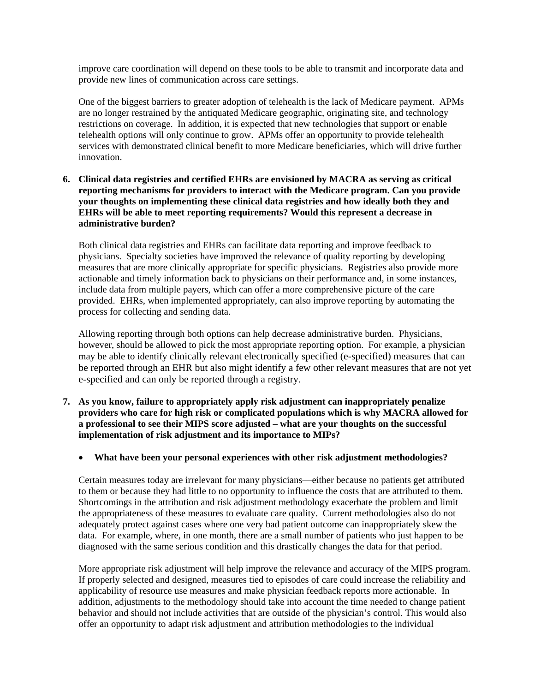improve care coordination will depend on these tools to be able to transmit and incorporate data and provide new lines of communication across care settings.

One of the biggest barriers to greater adoption of telehealth is the lack of Medicare payment. APMs are no longer restrained by the antiquated Medicare geographic, originating site, and technology restrictions on coverage. In addition, it is expected that new technologies that support or enable telehealth options will only continue to grow. APMs offer an opportunity to provide telehealth services with demonstrated clinical benefit to more Medicare beneficiaries, which will drive further innovation.

**6. Clinical data registries and certified EHRs are envisioned by MACRA as serving as critical reporting mechanisms for providers to interact with the Medicare program. Can you provide your thoughts on implementing these clinical data registries and how ideally both they and EHRs will be able to meet reporting requirements? Would this represent a decrease in administrative burden?** 

Both clinical data registries and EHRs can facilitate data reporting and improve feedback to physicians. Specialty societies have improved the relevance of quality reporting by developing measures that are more clinically appropriate for specific physicians. Registries also provide more actionable and timely information back to physicians on their performance and, in some instances, include data from multiple payers, which can offer a more comprehensive picture of the care provided. EHRs, when implemented appropriately, can also improve reporting by automating the process for collecting and sending data.

Allowing reporting through both options can help decrease administrative burden. Physicians, however, should be allowed to pick the most appropriate reporting option. For example, a physician may be able to identify clinically relevant electronically specified (e-specified) measures that can be reported through an EHR but also might identify a few other relevant measures that are not yet e-specified and can only be reported through a registry.

- **7. As you know, failure to appropriately apply risk adjustment can inappropriately penalize providers who care for high risk or complicated populations which is why MACRA allowed for a professional to see their MIPS score adjusted – what are your thoughts on the successful implementation of risk adjustment and its importance to MIPs?** 
	- **What have been your personal experiences with other risk adjustment methodologies?**

Certain measures today are irrelevant for many physicians—either because no patients get attributed to them or because they had little to no opportunity to influence the costs that are attributed to them. Shortcomings in the attribution and risk adjustment methodology exacerbate the problem and limit the appropriateness of these measures to evaluate care quality. Current methodologies also do not adequately protect against cases where one very bad patient outcome can inappropriately skew the data. For example, where, in one month, there are a small number of patients who just happen to be diagnosed with the same serious condition and this drastically changes the data for that period.

More appropriate risk adjustment will help improve the relevance and accuracy of the MIPS program. If properly selected and designed, measures tied to episodes of care could increase the reliability and applicability of resource use measures and make physician feedback reports more actionable. In addition, adjustments to the methodology should take into account the time needed to change patient behavior and should not include activities that are outside of the physician's control. This would also offer an opportunity to adapt risk adjustment and attribution methodologies to the individual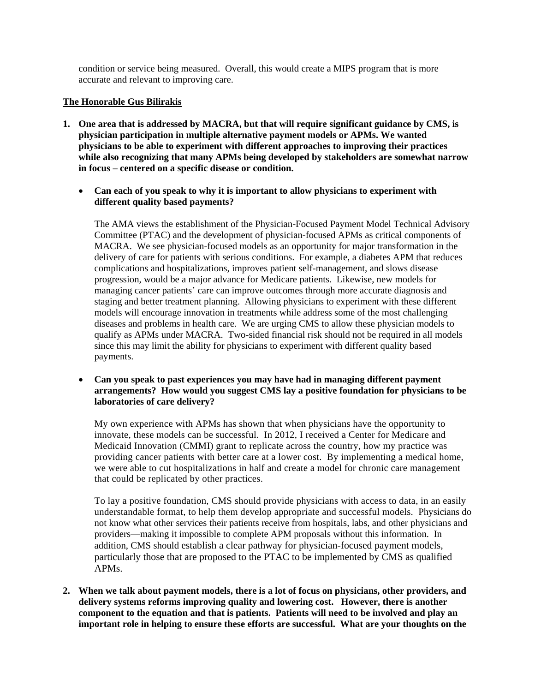condition or service being measured. Overall, this would create a MIPS program that is more accurate and relevant to improving care.

#### **The Honorable Gus Bilirakis**

- **1. One area that is addressed by MACRA, but that will require significant guidance by CMS, is physician participation in multiple alternative payment models or APMs. We wanted physicians to be able to experiment with different approaches to improving their practices while also recognizing that many APMs being developed by stakeholders are somewhat narrow in focus – centered on a specific disease or condition.** 
	- **Can each of you speak to why it is important to allow physicians to experiment with different quality based payments?**

The AMA views the establishment of the Physician-Focused Payment Model Technical Advisory Committee (PTAC) and the development of physician-focused APMs as critical components of MACRA. We see physician-focused models as an opportunity for major transformation in the delivery of care for patients with serious conditions. For example, a diabetes APM that reduces complications and hospitalizations, improves patient self-management, and slows disease progression, would be a major advance for Medicare patients. Likewise, new models for managing cancer patients' care can improve outcomes through more accurate diagnosis and staging and better treatment planning. Allowing physicians to experiment with these different models will encourage innovation in treatments while address some of the most challenging diseases and problems in health care. We are urging CMS to allow these physician models to qualify as APMs under MACRA. Two-sided financial risk should not be required in all models since this may limit the ability for physicians to experiment with different quality based payments.

 **Can you speak to past experiences you may have had in managing different payment arrangements? How would you suggest CMS lay a positive foundation for physicians to be laboratories of care delivery?** 

My own experience with APMs has shown that when physicians have the opportunity to innovate, these models can be successful. In 2012, I received a Center for Medicare and Medicaid Innovation (CMMI) grant to replicate across the country, how my practice was providing cancer patients with better care at a lower cost. By implementing a medical home, we were able to cut hospitalizations in half and create a model for chronic care management that could be replicated by other practices.

To lay a positive foundation, CMS should provide physicians with access to data, in an easily understandable format, to help them develop appropriate and successful models. Physicians do not know what other services their patients receive from hospitals, labs, and other physicians and providers—making it impossible to complete APM proposals without this information. In addition, CMS should establish a clear pathway for physician-focused payment models, particularly those that are proposed to the PTAC to be implemented by CMS as qualified APMs.

**2. When we talk about payment models, there is a lot of focus on physicians, other providers, and delivery systems reforms improving quality and lowering cost. However, there is another component to the equation and that is patients. Patients will need to be involved and play an important role in helping to ensure these efforts are successful. What are your thoughts on the**